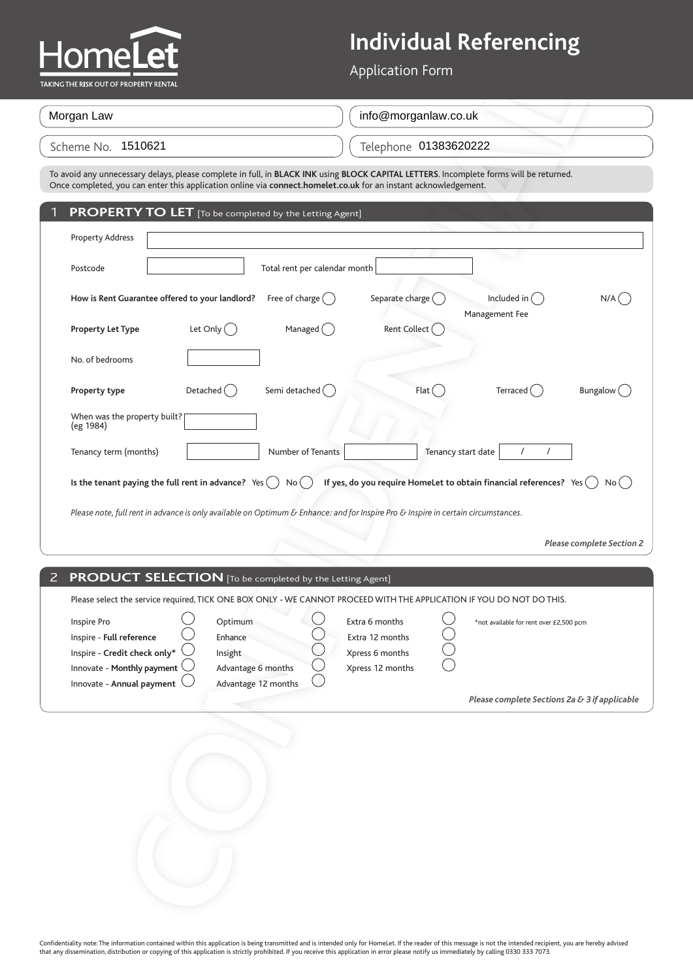

| Morgan Law         | info@morganlaw.co.uk  |
|--------------------|-----------------------|
| Scheme No. 1510621 | Telephone 01383620222 |

| AKING THE RISK OUT OF PROPERTY RENTAL                                                                                                                                                                                                                     | <b>Application Form</b>                                                                                             |
|-----------------------------------------------------------------------------------------------------------------------------------------------------------------------------------------------------------------------------------------------------------|---------------------------------------------------------------------------------------------------------------------|
| Morgan Law                                                                                                                                                                                                                                                | info@morganlaw.co.uk                                                                                                |
| Scheme No. 1510621                                                                                                                                                                                                                                        | Telephone 01383620222                                                                                               |
| To avoid any unnecessary delays, please complete in full, in BLACK INK using BLOCK CAPITAL LETTERS. Incomplete forms will be returned.<br>Once completed, you can enter this application online via connect.homelet.co.uk for an instant acknowledgement. |                                                                                                                     |
| <b>PROPERTY TO LET</b> [To be completed by the Letting Agent]<br>1                                                                                                                                                                                        |                                                                                                                     |
| <b>Property Address</b>                                                                                                                                                                                                                                   |                                                                                                                     |
| Total rent per calendar month<br>Postcode                                                                                                                                                                                                                 |                                                                                                                     |
| Free of charge $($ )<br>How is Rent Guarantee offered to your landlord?                                                                                                                                                                                   | Separate charge (<br>Included in<br>$N/A$ $($<br>Management Fee                                                     |
| Let Only $\bigcirc$<br>Managed $\binom{ }{ }$<br><b>Property Let Type</b>                                                                                                                                                                                 | Rent Collect (                                                                                                      |
| No. of bedrooms                                                                                                                                                                                                                                           |                                                                                                                     |
| Semi detached (<br>Detached $($ )<br>Property type                                                                                                                                                                                                        | Flat (<br>Terraced ()<br>Bungalow (                                                                                 |
| When was the property built?<br>(eg 1984)                                                                                                                                                                                                                 |                                                                                                                     |
| Tenancy term (months)<br>Number of Tenants                                                                                                                                                                                                                | $\prime$<br>Tenancy start date<br>$\prime$                                                                          |
| Is the tenant paying the full rent in advance? $Yes( )$<br>No(                                                                                                                                                                                            | If yes, do you require HomeLet to obtain financial references? Yes $($<br>No(                                       |
| Please note, full rent in advance is only available on Optimum & Enhance: and for Inspire Pro & Inspire in certain circumstances.                                                                                                                         |                                                                                                                     |
|                                                                                                                                                                                                                                                           | <b>Please complete Section 2</b>                                                                                    |
| $\overline{2}$<br><b>PRODUCT SELECTION</b> [To be completed by the Letting Agent]                                                                                                                                                                         |                                                                                                                     |
| Please select the service required, TICK ONE BOX ONLY - WE CANNOT PROCEED WITH THE APPLICATION IF YOU DO NOT DO THIS.                                                                                                                                     |                                                                                                                     |
| Inspire Pro<br>Optimum<br>Inspire - Full reference<br>Enhance<br>Inspire - Credit check only*<br>Insight<br>Innovate - Monthly payment<br>Advantage 6 months<br>Innovate - Annual payment (<br>Advantage 12 months                                        | Extra 6 months<br>*not available for rent over £2,500 pcm<br>Extra 12 months<br>Xpress 6 months<br>Xpress 12 months |
|                                                                                                                                                                                                                                                           | Please complete Sections 2a & 3 if applicable                                                                       |
|                                                                                                                                                                                                                                                           |                                                                                                                     |

#### 2 **PRODUCT SELECTION** [To be completed by the Letting Agent]

| Inspire Pro                              | Optimum             | Extra 6 months   | *not available for rent over £2,500 pcm       |
|------------------------------------------|---------------------|------------------|-----------------------------------------------|
| Inspire - Full reference                 | Enhance             | Extra 12 months  |                                               |
| Inspire - Credit check only* $\setminus$ | Insight             | Xpress 6 months  |                                               |
| Innovate - Monthly payment $\cup$        | Advantage 6 months  | Xpress 12 months |                                               |
| Innovate - Annual payment $\cup$         | Advantage 12 months |                  |                                               |
|                                          |                     |                  | Please complete Sections 2a & 3 if applicable |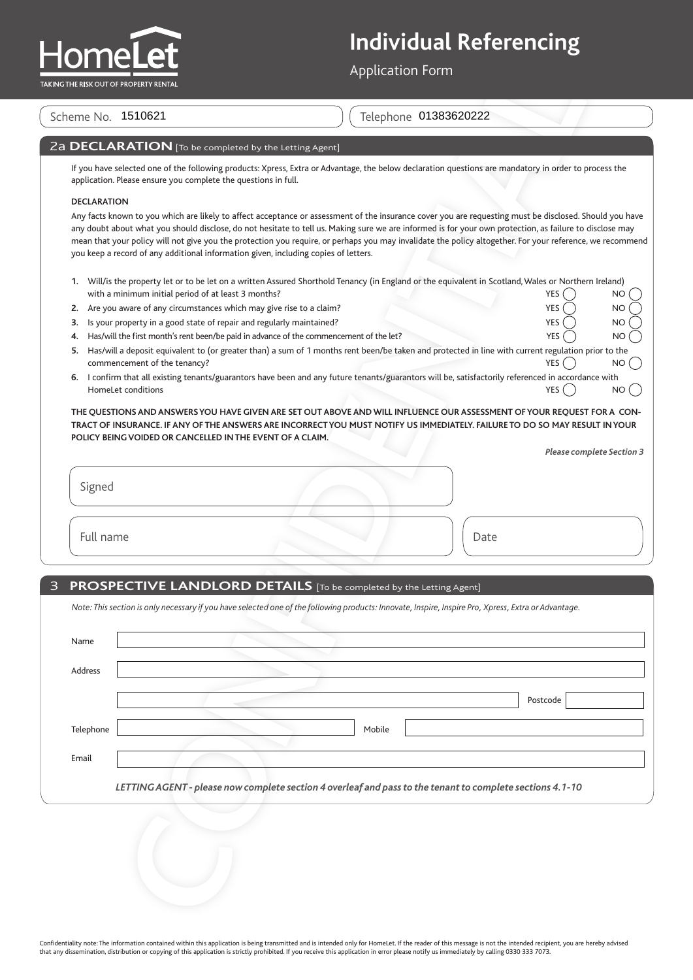

#### 2a **DECLARATION** [To be completed by the Letting Agent]

#### **DECLARATION**

| 1. Will/is the property let or to be let on a written Assured Shorthold Tenancy (in England or the equivalent in Scotland, Wales or Northern Ireland) |        |           |
|-------------------------------------------------------------------------------------------------------------------------------------------------------|--------|-----------|
| with a minimum initial period of at least 3 months?                                                                                                   | YES( ) | <b>NO</b> |

- **2.** Are you aware of any circumstances which may give rise to a claim? YES NOTES NOTES NOTES NOTES A VERTISHED A
- **3.** Is your property in a good state of repair and regularly maintained?

- **5.** Has/will a deposit equivalent to (or greater than) a sum of 1 months rent been/be taken and protected in line with current regulation prior to the  $\blacksquare$  Commencement of the tenancy?  $\blacksquare$  NO
- **6.** I confirm that all existing tenants/guarantors have been and any future tenants/guarantors will be, satisfactorily referenced in accordance with HomeLet conditions  $YES(\ )$  NO (

| <b>Please complete Section 3</b> |  |
|----------------------------------|--|
|----------------------------------|--|

#### 3 **PROSPECTIVE LANDLORD DETAILS** [To be completed by the Letting Agent]

|                    | Scheme No. 1510621                                                   | Telephone 01383620222                                                                                                                                                                                                                                                                                                                                                                                                                                                                                                                                                   |           |
|--------------------|----------------------------------------------------------------------|-------------------------------------------------------------------------------------------------------------------------------------------------------------------------------------------------------------------------------------------------------------------------------------------------------------------------------------------------------------------------------------------------------------------------------------------------------------------------------------------------------------------------------------------------------------------------|-----------|
|                    | 2a DECLARATION [To be completed by the Letting Agent]                |                                                                                                                                                                                                                                                                                                                                                                                                                                                                                                                                                                         |           |
|                    | application. Please ensure you complete the questions in full.       | If you have selected one of the following products: Xpress, Extra or Advantage, the below declaration questions are mandatory in order to process the                                                                                                                                                                                                                                                                                                                                                                                                                   |           |
| <b>DECLARATION</b> |                                                                      |                                                                                                                                                                                                                                                                                                                                                                                                                                                                                                                                                                         |           |
|                    |                                                                      | Any facts known to you which are likely to affect acceptance or assessment of the insurance cover you are requesting must be disclosed. Should you have<br>any doubt about what you should disclose, do not hesitate to tell us. Making sure we are informed is for your own protection, as failure to disclose may<br>mean that your policy will not give you the protection you require, or perhaps you may invalidate the policy altogether. For your reference, we recommend<br>you keep a record of any additional information given, including copies of letters. |           |
|                    | with a minimum initial period of at least 3 months?                  | 1. Will/is the property let or to be let on a written Assured Shorthold Tenancy (in England or the equivalent in Scotland, Wales or Northern Ireland)<br><b>YES</b>                                                                                                                                                                                                                                                                                                                                                                                                     | NO        |
| 2.                 | Are you aware of any circumstances which may give rise to a claim?   | <b>YES</b>                                                                                                                                                                                                                                                                                                                                                                                                                                                                                                                                                              | <b>NO</b> |
| 3.                 | Is your property in a good state of repair and regularly maintained? | <b>YES</b>                                                                                                                                                                                                                                                                                                                                                                                                                                                                                                                                                              | <b>NO</b> |
| 4.                 |                                                                      | Has/will the first month's rent been/be paid in advance of the commencement of the let?<br><b>YES</b>                                                                                                                                                                                                                                                                                                                                                                                                                                                                   | <b>NO</b> |
| 5.                 |                                                                      | Has/will a deposit equivalent to (or greater than) a sum of 1 months rent been/be taken and protected in line with current regulation prior to the<br>YES <sup>(</sup>                                                                                                                                                                                                                                                                                                                                                                                                  |           |
|                    | commencement of the tenancy?                                         | 6. I confirm that all existing tenants/guarantors have been and any future tenants/guarantors will be, satisfactorily referenced in accordance with                                                                                                                                                                                                                                                                                                                                                                                                                     | <b>NO</b> |
|                    | HomeLet conditions                                                   | YES (                                                                                                                                                                                                                                                                                                                                                                                                                                                                                                                                                                   | NO.       |
| Signed             |                                                                      | <b>Please complete Section 3</b>                                                                                                                                                                                                                                                                                                                                                                                                                                                                                                                                        |           |
| Full name          |                                                                      | Date                                                                                                                                                                                                                                                                                                                                                                                                                                                                                                                                                                    |           |
|                    |                                                                      |                                                                                                                                                                                                                                                                                                                                                                                                                                                                                                                                                                         |           |
|                    |                                                                      | PROSPECTIVE LANDLORD DETAILS [To be completed by the Letting Agent]                                                                                                                                                                                                                                                                                                                                                                                                                                                                                                     |           |
|                    |                                                                      | Note: This section is only necessary if you have selected one of the following products: Innovate, Inspire, Inspire Pro, Xpress, Extra or Advantage.                                                                                                                                                                                                                                                                                                                                                                                                                    |           |
| Name               |                                                                      |                                                                                                                                                                                                                                                                                                                                                                                                                                                                                                                                                                         |           |
| Address            |                                                                      |                                                                                                                                                                                                                                                                                                                                                                                                                                                                                                                                                                         |           |
|                    |                                                                      |                                                                                                                                                                                                                                                                                                                                                                                                                                                                                                                                                                         |           |
|                    |                                                                      | Postcode                                                                                                                                                                                                                                                                                                                                                                                                                                                                                                                                                                |           |
|                    |                                                                      |                                                                                                                                                                                                                                                                                                                                                                                                                                                                                                                                                                         |           |
| Telephone          |                                                                      | Mobile                                                                                                                                                                                                                                                                                                                                                                                                                                                                                                                                                                  |           |
|                    |                                                                      |                                                                                                                                                                                                                                                                                                                                                                                                                                                                                                                                                                         |           |
| Email              |                                                                      |                                                                                                                                                                                                                                                                                                                                                                                                                                                                                                                                                                         |           |
|                    |                                                                      | LETTING AGENT - please now complete section 4 overleaf and pass to the tenant to complete sections 4.1-10                                                                                                                                                                                                                                                                                                                                                                                                                                                               |           |
|                    |                                                                      |                                                                                                                                                                                                                                                                                                                                                                                                                                                                                                                                                                         |           |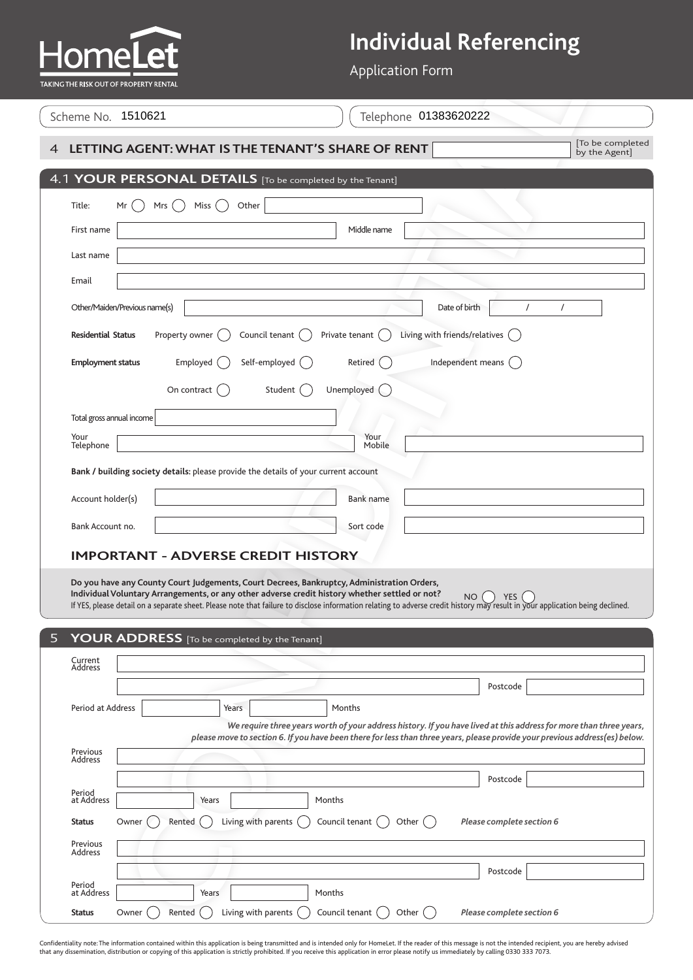Application Form

| TAKING THE RISK OUT OF PROPERTY RENTAL |  |
|----------------------------------------|--|
| Scheme No. 1510621                     |  |
|                                        |  |

| <b>LELA</b><br>(ING THE RISK OUT OF PROPERTY RENTAL |                                                                                                                                                                                                                                              | <b>Application Form</b>                                                                                                                                                                                                                           |                                  |
|-----------------------------------------------------|----------------------------------------------------------------------------------------------------------------------------------------------------------------------------------------------------------------------------------------------|---------------------------------------------------------------------------------------------------------------------------------------------------------------------------------------------------------------------------------------------------|----------------------------------|
| Scheme No. 1510621                                  |                                                                                                                                                                                                                                              | Telephone 01383620222                                                                                                                                                                                                                             |                                  |
|                                                     | LETTING AGENT: WHAT IS THE TENANT'S SHARE OF RENT                                                                                                                                                                                            |                                                                                                                                                                                                                                                   | To be completed<br>by the Agent] |
|                                                     | 4.1 YOUR PERSONAL DETAILS [To be completed by the Tenant]                                                                                                                                                                                    |                                                                                                                                                                                                                                                   |                                  |
| Title:<br>Mr                                        | Mrs<br>Miss<br>Other                                                                                                                                                                                                                         |                                                                                                                                                                                                                                                   |                                  |
| First name                                          |                                                                                                                                                                                                                                              | Middle name                                                                                                                                                                                                                                       |                                  |
| Last name                                           |                                                                                                                                                                                                                                              |                                                                                                                                                                                                                                                   |                                  |
| Email                                               |                                                                                                                                                                                                                                              |                                                                                                                                                                                                                                                   |                                  |
| Other/Maiden/Previous name(s)                       |                                                                                                                                                                                                                                              | Date of birth                                                                                                                                                                                                                                     | $\prime$<br>$\prime$             |
| <b>Residential Status</b>                           | Property owner<br>Council tenant                                                                                                                                                                                                             | Living with friends/relatives (<br>Private tenant                                                                                                                                                                                                 |                                  |
| <b>Employment status</b>                            | Self-employed (<br>Employed                                                                                                                                                                                                                  | Independent means (<br>Retired                                                                                                                                                                                                                    |                                  |
|                                                     | On contract<br>Student ()                                                                                                                                                                                                                    | Unemployed                                                                                                                                                                                                                                        |                                  |
| Total gross annual income                           |                                                                                                                                                                                                                                              |                                                                                                                                                                                                                                                   |                                  |
| Your<br>Telephone                                   |                                                                                                                                                                                                                                              | Your<br>Mobile                                                                                                                                                                                                                                    |                                  |
|                                                     | Bank / building society details: please provide the details of your current account                                                                                                                                                          |                                                                                                                                                                                                                                                   |                                  |
| Account holder(s)                                   |                                                                                                                                                                                                                                              | <b>Bank name</b>                                                                                                                                                                                                                                  |                                  |
| Bank Account no.                                    |                                                                                                                                                                                                                                              | Sort code                                                                                                                                                                                                                                         |                                  |
|                                                     | <b>IMPORTANT - ADVERSE CREDIT HISTORY</b>                                                                                                                                                                                                    |                                                                                                                                                                                                                                                   |                                  |
|                                                     | Do you have any County Court Judgements, Court Decrees, Bankruptcy, Administration Orders,<br>Individual Voluntary Arrangements, or any other adverse credit history whether settled or not?<br>YOUR ADDRESS [To be completed by the Tenant] | NO<br>If YES, please detail on a separate sheet. Please note that failure to disclose information relating to adverse credit history may result in your application being declined.                                                               | <b>YES</b>                       |
| Current<br>Address                                  |                                                                                                                                                                                                                                              |                                                                                                                                                                                                                                                   |                                  |
|                                                     |                                                                                                                                                                                                                                              |                                                                                                                                                                                                                                                   | Postcode                         |
| Period at Address                                   | Years                                                                                                                                                                                                                                        | Months                                                                                                                                                                                                                                            |                                  |
|                                                     |                                                                                                                                                                                                                                              | We require three years worth of your address history. If you have lived at this address for more than three years,<br>please move to section 6. If you have been there for less than three years, please provide your previous address(es) below. |                                  |
| Previous<br>Address                                 |                                                                                                                                                                                                                                              |                                                                                                                                                                                                                                                   |                                  |
| Period                                              |                                                                                                                                                                                                                                              |                                                                                                                                                                                                                                                   | Postcode                         |
| at Address                                          | Years                                                                                                                                                                                                                                        | Months                                                                                                                                                                                                                                            |                                  |
| Owner<br>Status                                     | Living with parents<br>Rented                                                                                                                                                                                                                | Council tenant $($<br>Other $($                                                                                                                                                                                                                   | Please complete section 6        |
| Previous<br>Address                                 |                                                                                                                                                                                                                                              |                                                                                                                                                                                                                                                   |                                  |
| Period                                              |                                                                                                                                                                                                                                              |                                                                                                                                                                                                                                                   | Postcode                         |
| at Address                                          | Years                                                                                                                                                                                                                                        | Months                                                                                                                                                                                                                                            |                                  |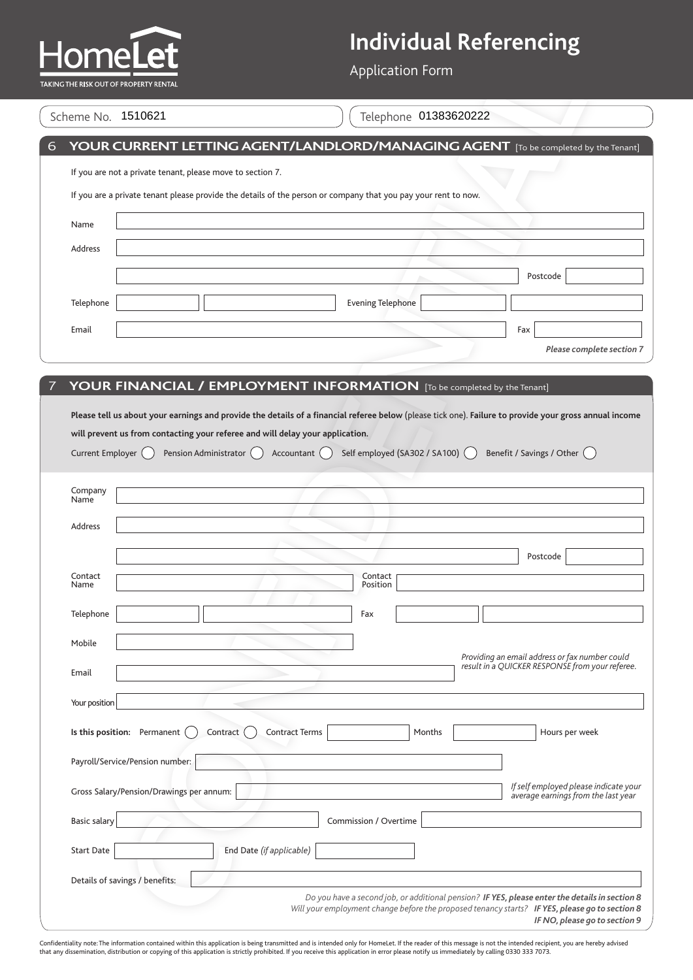Application Form

#### $\int$  Scheme No.  $\overline{1510621}$

|                     | Scheme No. 1510621                                                                                             |                          |                          |     | Telephone 01383620222            |                                                                                                                                                        |
|---------------------|----------------------------------------------------------------------------------------------------------------|--------------------------|--------------------------|-----|----------------------------------|--------------------------------------------------------------------------------------------------------------------------------------------------------|
|                     |                                                                                                                |                          |                          |     |                                  | YOUR CURRENT LETTING AGENT/LANDLORD/MANAGING AGENT [To be completed by the Tenant]                                                                     |
|                     | If you are not a private tenant, please move to section 7.                                                     |                          |                          |     |                                  |                                                                                                                                                        |
|                     | If you are a private tenant please provide the details of the person or company that you pay your rent to now. |                          |                          |     |                                  |                                                                                                                                                        |
| Name                |                                                                                                                |                          |                          |     |                                  |                                                                                                                                                        |
| Address             |                                                                                                                |                          |                          |     |                                  |                                                                                                                                                        |
|                     |                                                                                                                |                          |                          |     |                                  | Postcode                                                                                                                                               |
| Telephone           |                                                                                                                |                          |                          |     | <b>Evening Telephone</b>         |                                                                                                                                                        |
| Email               |                                                                                                                |                          |                          |     |                                  | Fax                                                                                                                                                    |
|                     |                                                                                                                |                          |                          |     |                                  | Please complete section 7                                                                                                                              |
|                     | YOUR FINANCIAL / EMPLOYMENT INFORMATION [To be completed by the Tenant]                                        |                          |                          |     |                                  |                                                                                                                                                        |
|                     |                                                                                                                |                          |                          |     |                                  |                                                                                                                                                        |
|                     |                                                                                                                |                          |                          |     |                                  | Please tell us about your earnings and provide the details of a financial referee below (please tick one). Failure to provide your gross annual income |
|                     | will prevent us from contacting your referee and will delay your application.                                  |                          |                          |     |                                  |                                                                                                                                                        |
|                     |                                                                                                                |                          |                          |     |                                  |                                                                                                                                                        |
|                     |                                                                                                                |                          |                          |     |                                  |                                                                                                                                                        |
| Current Employer    |                                                                                                                | Pension Administrator () | Accountant $( )$         |     | Self employed (SA302 / SA100) () | Benefit / Savings / Other (                                                                                                                            |
|                     |                                                                                                                |                          |                          |     |                                  |                                                                                                                                                        |
| Company             |                                                                                                                |                          |                          |     |                                  |                                                                                                                                                        |
| Name                |                                                                                                                |                          |                          |     |                                  |                                                                                                                                                        |
| Address             |                                                                                                                |                          |                          |     |                                  |                                                                                                                                                        |
|                     |                                                                                                                |                          |                          |     |                                  |                                                                                                                                                        |
|                     |                                                                                                                |                          |                          |     |                                  | Postcode                                                                                                                                               |
| Contact             |                                                                                                                |                          |                          |     | Contact                          |                                                                                                                                                        |
| Name                |                                                                                                                |                          |                          |     | Position                         |                                                                                                                                                        |
| Telephone           |                                                                                                                |                          |                          | Fax |                                  |                                                                                                                                                        |
|                     |                                                                                                                |                          |                          |     |                                  |                                                                                                                                                        |
| Mobile              |                                                                                                                |                          |                          |     |                                  |                                                                                                                                                        |
|                     |                                                                                                                |                          |                          |     |                                  | Providing an email address or fax number could                                                                                                         |
| Email               |                                                                                                                |                          |                          |     |                                  | result in a QUICKER RESPONSE from your referee.                                                                                                        |
|                     |                                                                                                                |                          |                          |     |                                  |                                                                                                                                                        |
| Your position       |                                                                                                                |                          |                          |     |                                  |                                                                                                                                                        |
|                     | Is this position: Permanent                                                                                    | Contract                 | <b>Contract Terms</b>    |     | Months                           | Hours per week                                                                                                                                         |
|                     | Payroll/Service/Pension number:                                                                                |                          |                          |     |                                  |                                                                                                                                                        |
|                     |                                                                                                                |                          |                          |     |                                  |                                                                                                                                                        |
|                     | Gross Salary/Pension/Drawings per annum:                                                                       |                          |                          |     |                                  | If self employed please indicate your<br>average earnings from the last year                                                                           |
|                     |                                                                                                                |                          |                          |     |                                  |                                                                                                                                                        |
| <b>Basic salary</b> |                                                                                                                |                          |                          |     | Commission / Overtime            |                                                                                                                                                        |
| <b>Start Date</b>   |                                                                                                                |                          | End Date (if applicable) |     |                                  |                                                                                                                                                        |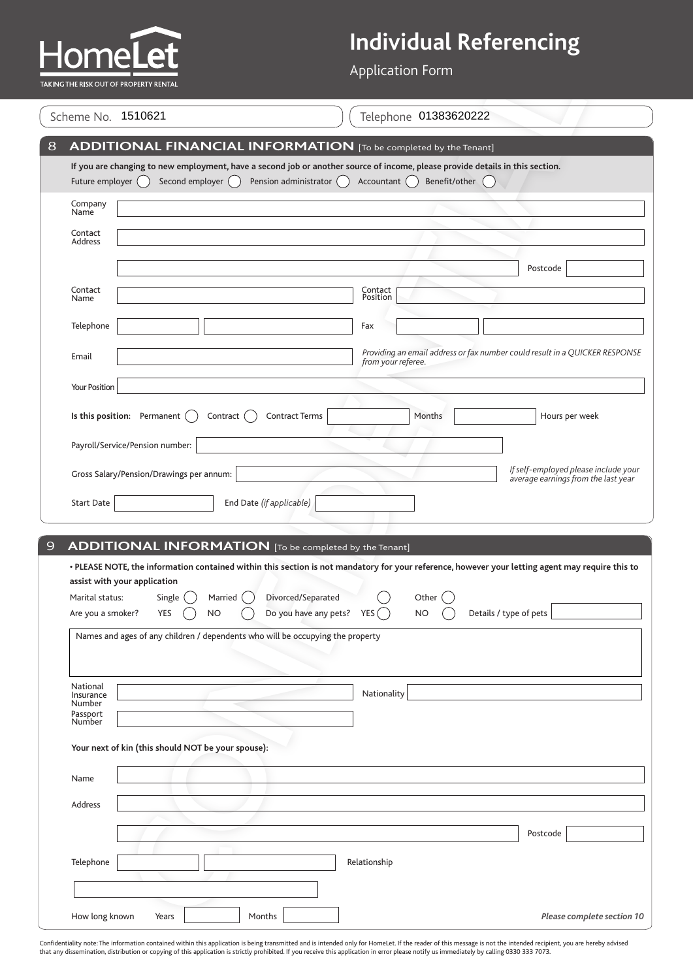

Application Form

|                         | Scheme No. 1510621                                                             | Telephone 01383620222                                                                                                                                                                                                                |
|-------------------------|--------------------------------------------------------------------------------|--------------------------------------------------------------------------------------------------------------------------------------------------------------------------------------------------------------------------------------|
|                         |                                                                                | <b>ADDITIONAL FINANCIAL INFORMATION</b> [To be completed by the Tenant]                                                                                                                                                              |
| Future employer $($ $)$ | Second employer ()                                                             | If you are changing to new employment, have a second job or another source of income, please provide details in this section.<br>Pension administrator ()<br>Benefit/other<br>Accountant ()                                          |
| Company<br>Name         |                                                                                |                                                                                                                                                                                                                                      |
| Contact<br>Address      |                                                                                |                                                                                                                                                                                                                                      |
|                         |                                                                                | Postcode                                                                                                                                                                                                                             |
| Contact                 |                                                                                | Contact<br>Position                                                                                                                                                                                                                  |
| Name                    |                                                                                |                                                                                                                                                                                                                                      |
| Telephone               |                                                                                | Fax                                                                                                                                                                                                                                  |
| Email                   |                                                                                | Providing an email address or fax number could result in a QUICKER RESPONSE<br>from your referee.                                                                                                                                    |
| Your Position           |                                                                                |                                                                                                                                                                                                                                      |
|                         | Is this position: Permanent<br>Contract                                        | <b>Contract Terms</b><br>Months<br>Hours per week                                                                                                                                                                                    |
|                         | Payroll/Service/Pension number:                                                |                                                                                                                                                                                                                                      |
|                         |                                                                                | If self-employed please include your                                                                                                                                                                                                 |
|                         | Gross Salary/Pension/Drawings per annum:                                       | average earnings from the last year                                                                                                                                                                                                  |
|                         |                                                                                |                                                                                                                                                                                                                                      |
| <b>Start Date</b>       | End Date (if applicable)                                                       |                                                                                                                                                                                                                                      |
|                         |                                                                                |                                                                                                                                                                                                                                      |
|                         | <b>ADDITIONAL INFORMATION</b> [To be completed by the Tenant]                  |                                                                                                                                                                                                                                      |
|                         | assist with your application                                                   |                                                                                                                                                                                                                                      |
| Marital status:         | Single<br>Married                                                              | Divorced/Separated<br>Other                                                                                                                                                                                                          |
| Are you a smoker?       | YES<br><b>NO</b>                                                               | • PLEASE NOTE, the information contained within this section is not mandatory for your reference, however your letting agent may require this to<br>Do you have any pets?<br>Details / type of pets<br>YES <sub>1</sub><br><b>NO</b> |
|                         | Names and ages of any children / dependents who will be occupying the property |                                                                                                                                                                                                                                      |
|                         |                                                                                |                                                                                                                                                                                                                                      |
| National<br>Insurance   |                                                                                | Nationality                                                                                                                                                                                                                          |
| Number                  |                                                                                |                                                                                                                                                                                                                                      |
| Passport<br>Number      |                                                                                |                                                                                                                                                                                                                                      |
|                         | Your next of kin (this should NOT be your spouse):                             |                                                                                                                                                                                                                                      |
| Name                    |                                                                                |                                                                                                                                                                                                                                      |
| Address                 |                                                                                |                                                                                                                                                                                                                                      |
|                         |                                                                                | Postcode                                                                                                                                                                                                                             |
| Telephone               |                                                                                | Relationship                                                                                                                                                                                                                         |